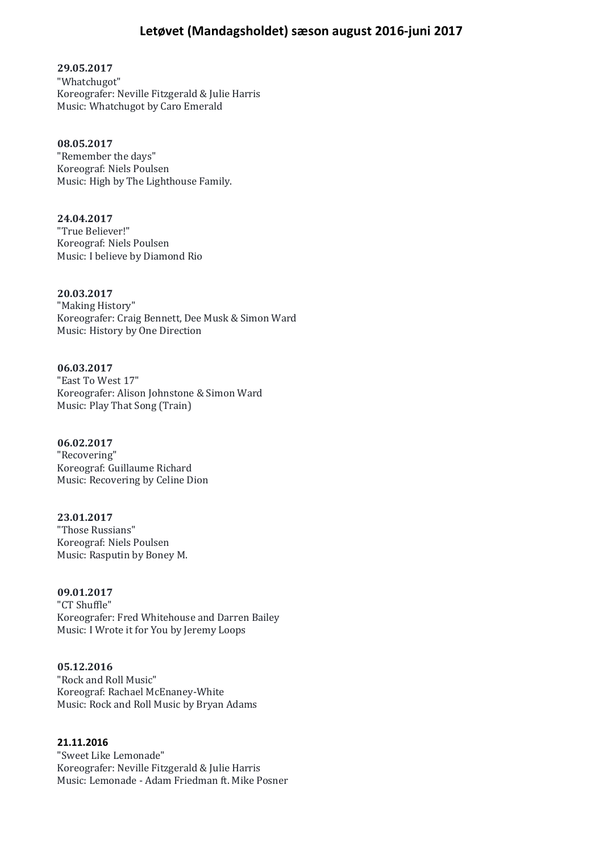# **Letøvet (Mandagsholdet) sæson august 2016-juni 2017**

**29.05.2017**

"Whatchugot" Koreografer: Neville Fitzgerald & Julie Harris Music: Whatchugot by Caro Emerald

#### **08.05.2017**

"Remember the days" Koreograf: Niels Poulsen Music: High by The Lighthouse Family.

**24.04.2017** "True Believer!" Koreograf: Niels Poulsen Music: I believe by Diamond Rio

**20.03.2017**

"Making History" Koreografer: Craig Bennett, Dee Musk & Simon Ward Music: History by One Direction

**06.03.2017**

"East To West 17" Koreografer: Alison Johnstone & Simon Ward Music: Play That Song (Train)

**06.02.2017** "Recovering" Koreograf: Guillaume Richard Music: Recovering by Celine Dion

#### **23.01.2017**

"Those Russians" Koreograf: Niels Poulsen Music: Rasputin by Boney M.

# **09.01.2017**

"CT Shuffle" Koreografer: Fred Whitehouse and Darren Bailey Music: I Wrote it for You by Jeremy Loops

#### **05.12.2016**

"Rock and Roll Music" Koreograf: Rachael McEnaney-White Music: Rock and Roll Music by Bryan Adams

## **21.11.2016**

"Sweet Like Lemonade" Koreografer: Neville Fitzgerald & Julie Harris Music: Lemonade - Adam Friedman ft. Mike Posner